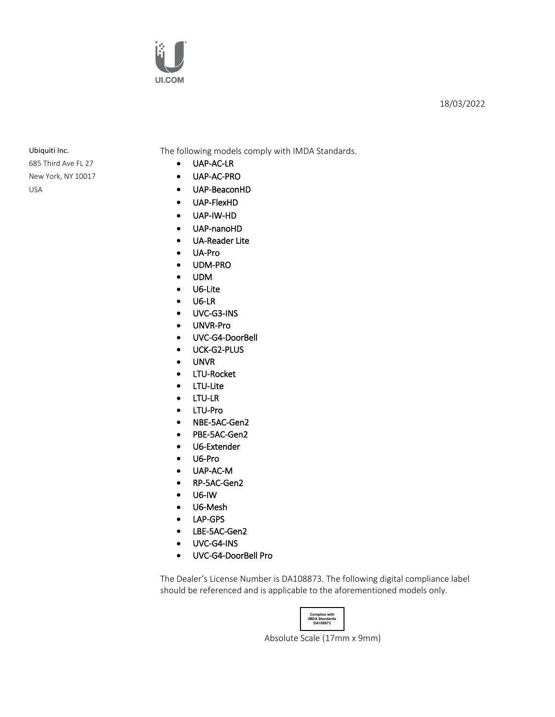

## 18/03/2022

685 Third Ave FL 27 New York, NY 10017 USA

Ubiquiti Inc. The following models comply with IMDA Standards.

- UAP-AC-LR
- UAP-AC-PRO
- UAP-BeaconHD
- UAP-FlexHD
- UAP-IW-HD
- UAP-nanoHD
- UA-Reader Lite
- UA-Pro
- UDM-PRO
- UDM
- U6-Lite
- U6-LR
- UVC-G3-INS
- UNVR-Pro
- UVC-G4-DoorBell
- UCK-G2-PLUS
- UNVR
- LTU-Rocket
- LTU-Lite
- LTU-LR
- LTU-Pro
- NBE-5AC-Gen2
- PBE-5AC-Gen2
- U6-Extender
- U6-Pro
- UAP-AC-M
- RP-5AC-Gen2
- U6-IW
- U6-Mesh
- LAP-GPS
- LBE-5AC-Gen2
- UVC-G4-INS
- UVC-G4-DoorBell Pro

The Dealer's License Number is DA108873. The following digital compliance label should be referenced and is applicable to the aforementioned models only.

**Complies with IMDA Standards DA108873**

Absolute Scale (17mm x 9mm)